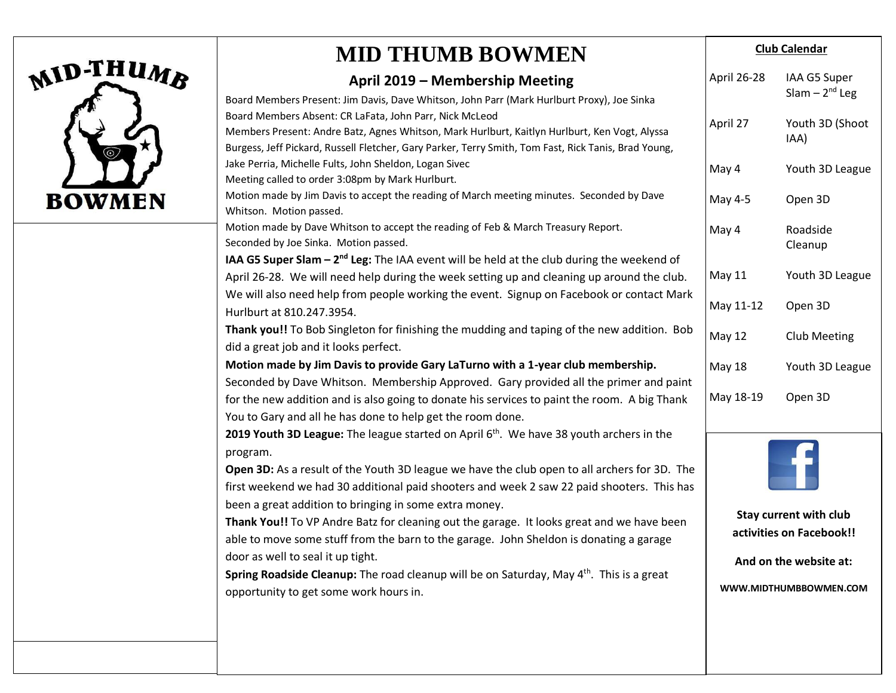

## **MID THUMB BOWMEN**

#### **April 2019 – Membership Meeting**

| Board Members Present: Jim Davis, Dave Whitson, John Parr (Mark Hurlburt Proxy), Joe Sinka<br>Board Members Absent: CR LaFata, John Parr, Nick McLeod<br>Members Present: Andre Batz, Agnes Whitson, Mark Hurlburt, Kaitlyn Hurlburt, Ken Vogt, Alyssa<br>Burgess, Jeff Pickard, Russell Fletcher, Gary Parker, Terry Smith, Tom Fast, Rick Tanis, Brad Young, |                                                    | Slam $-2^{nd}$ Leg      |
|----------------------------------------------------------------------------------------------------------------------------------------------------------------------------------------------------------------------------------------------------------------------------------------------------------------------------------------------------------------|----------------------------------------------------|-------------------------|
|                                                                                                                                                                                                                                                                                                                                                                | April 27                                           | Youth 3D (Shoot<br>IAA) |
| Jake Perria, Michelle Fults, John Sheldon, Logan Sivec<br>Meeting called to order 3:08pm by Mark Hurlburt.                                                                                                                                                                                                                                                     | May 4                                              | Youth 3D League         |
| Motion made by Jim Davis to accept the reading of March meeting minutes. Seconded by Dave<br>Whitson. Motion passed.                                                                                                                                                                                                                                           | May 4-5                                            | Open 3D                 |
| Motion made by Dave Whitson to accept the reading of Feb & March Treasury Report.<br>Seconded by Joe Sinka. Motion passed.                                                                                                                                                                                                                                     | May 4                                              | Roadside<br>Cleanup     |
| IAA G5 Super Slam - 2 <sup>nd</sup> Leg: The IAA event will be held at the club during the weekend of                                                                                                                                                                                                                                                          |                                                    |                         |
| April 26-28. We will need help during the week setting up and cleaning up around the club.<br>We will also need help from people working the event. Signup on Facebook or contact Mark                                                                                                                                                                         | <b>May 11</b>                                      | Youth 3D League         |
| Hurlburt at 810.247.3954.                                                                                                                                                                                                                                                                                                                                      | May 11-12                                          | Open 3D                 |
| Thank you!! To Bob Singleton for finishing the mudding and taping of the new addition. Bob<br>did a great job and it looks perfect.                                                                                                                                                                                                                            | <b>May 12</b>                                      | <b>Club Meeting</b>     |
| Motion made by Jim Davis to provide Gary LaTurno with a 1-year club membership.                                                                                                                                                                                                                                                                                | <b>May 18</b>                                      | Youth 3D League         |
| Seconded by Dave Whitson. Membership Approved. Gary provided all the primer and paint                                                                                                                                                                                                                                                                          |                                                    |                         |
| for the new addition and is also going to donate his services to paint the room. A big Thank                                                                                                                                                                                                                                                                   | May 18-19                                          | Open 3D                 |
| You to Gary and all he has done to help get the room done.                                                                                                                                                                                                                                                                                                     |                                                    |                         |
| 2019 Youth 3D League: The league started on April $6th$ . We have 38 youth archers in the<br>program.                                                                                                                                                                                                                                                          |                                                    |                         |
| Open 3D: As a result of the Youth 3D league we have the club open to all archers for 3D. The<br>first weekend we had 30 additional paid shooters and week 2 saw 22 paid shooters. This has                                                                                                                                                                     |                                                    |                         |
| been a great addition to bringing in some extra money.                                                                                                                                                                                                                                                                                                         | Stay current with club<br>activities on Facebook!! |                         |
| Thank You!! To VP Andre Batz for cleaning out the garage. It looks great and we have been                                                                                                                                                                                                                                                                      |                                                    |                         |
| able to move some stuff from the barn to the garage. John Sheldon is donating a garage<br>door as well to seal it up tight.                                                                                                                                                                                                                                    |                                                    |                         |
| Spring Roadside Cleanup: The road cleanup will be on Saturday, May 4 <sup>th</sup> . This is a great                                                                                                                                                                                                                                                           |                                                    | And on the website at:  |
| opportunity to get some work hours in.                                                                                                                                                                                                                                                                                                                         | WWW.MIDTHUMBBOWMEN.COM                             |                         |
|                                                                                                                                                                                                                                                                                                                                                                |                                                    |                         |
|                                                                                                                                                                                                                                                                                                                                                                |                                                    |                         |

**Club Calendar**

IAA G5 Super

April 26-28